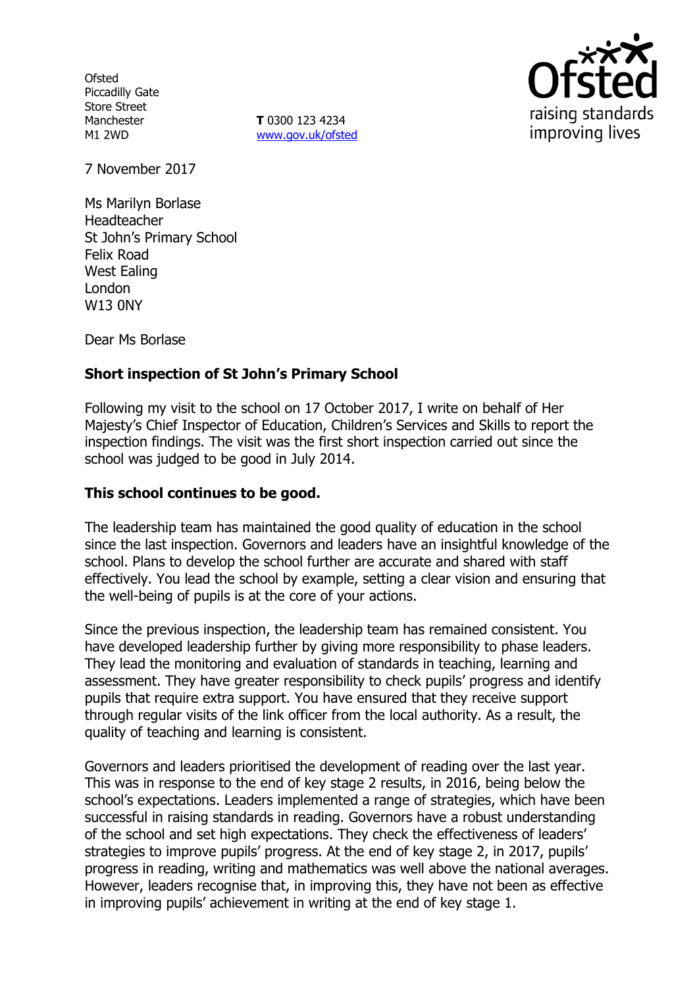**Ofsted** Piccadilly Gate Store Street Manchester M1 2WD

**T** 0300 123 4234 www.gov.uk/ofsted



7 November 2017

Ms Marilyn Borlase Headteacher St John's Primary School Felix Road West Ealing London W13 0NY

Dear Ms Borlase

# **Short inspection of St John's Primary School**

Following my visit to the school on 17 October 2017, I write on behalf of Her Majesty's Chief Inspector of Education, Children's Services and Skills to report the inspection findings. The visit was the first short inspection carried out since the school was judged to be good in July 2014.

#### **This school continues to be good.**

The leadership team has maintained the good quality of education in the school since the last inspection. Governors and leaders have an insightful knowledge of the school. Plans to develop the school further are accurate and shared with staff effectively. You lead the school by example, setting a clear vision and ensuring that the well-being of pupils is at the core of your actions.

Since the previous inspection, the leadership team has remained consistent. You have developed leadership further by giving more responsibility to phase leaders. They lead the monitoring and evaluation of standards in teaching, learning and assessment. They have greater responsibility to check pupils' progress and identify pupils that require extra support. You have ensured that they receive support through regular visits of the link officer from the local authority. As a result, the quality of teaching and learning is consistent.

Governors and leaders prioritised the development of reading over the last year. This was in response to the end of key stage 2 results, in 2016, being below the school's expectations. Leaders implemented a range of strategies, which have been successful in raising standards in reading. Governors have a robust understanding of the school and set high expectations. They check the effectiveness of leaders' strategies to improve pupils' progress. At the end of key stage 2, in 2017, pupils' progress in reading, writing and mathematics was well above the national averages. However, leaders recognise that, in improving this, they have not been as effective in improving pupils' achievement in writing at the end of key stage 1.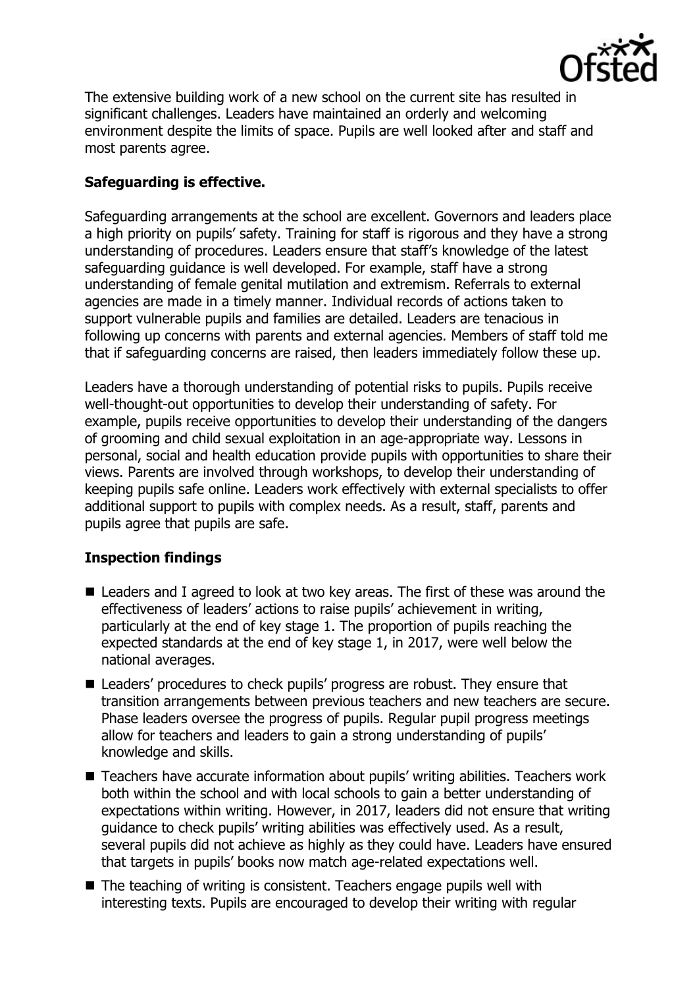

The extensive building work of a new school on the current site has resulted in significant challenges. Leaders have maintained an orderly and welcoming environment despite the limits of space. Pupils are well looked after and staff and most parents agree.

# **Safeguarding is effective.**

Safeguarding arrangements at the school are excellent. Governors and leaders place a high priority on pupils' safety. Training for staff is rigorous and they have a strong understanding of procedures. Leaders ensure that staff's knowledge of the latest safeguarding guidance is well developed. For example, staff have a strong understanding of female genital mutilation and extremism. Referrals to external agencies are made in a timely manner. Individual records of actions taken to support vulnerable pupils and families are detailed. Leaders are tenacious in following up concerns with parents and external agencies. Members of staff told me that if safeguarding concerns are raised, then leaders immediately follow these up.

Leaders have a thorough understanding of potential risks to pupils. Pupils receive well-thought-out opportunities to develop their understanding of safety. For example, pupils receive opportunities to develop their understanding of the dangers of grooming and child sexual exploitation in an age-appropriate way. Lessons in personal, social and health education provide pupils with opportunities to share their views. Parents are involved through workshops, to develop their understanding of keeping pupils safe online. Leaders work effectively with external specialists to offer additional support to pupils with complex needs. As a result, staff, parents and pupils agree that pupils are safe.

### **Inspection findings**

- Leaders and I agreed to look at two key areas. The first of these was around the effectiveness of leaders' actions to raise pupils' achievement in writing, particularly at the end of key stage 1. The proportion of pupils reaching the expected standards at the end of key stage 1, in 2017, were well below the national averages.
- Leaders' procedures to check pupils' progress are robust. They ensure that transition arrangements between previous teachers and new teachers are secure. Phase leaders oversee the progress of pupils. Regular pupil progress meetings allow for teachers and leaders to gain a strong understanding of pupils' knowledge and skills.
- Teachers have accurate information about pupils' writing abilities. Teachers work both within the school and with local schools to gain a better understanding of expectations within writing. However, in 2017, leaders did not ensure that writing guidance to check pupils' writing abilities was effectively used. As a result, several pupils did not achieve as highly as they could have. Leaders have ensured that targets in pupils' books now match age-related expectations well.
- The teaching of writing is consistent. Teachers engage pupils well with interesting texts. Pupils are encouraged to develop their writing with regular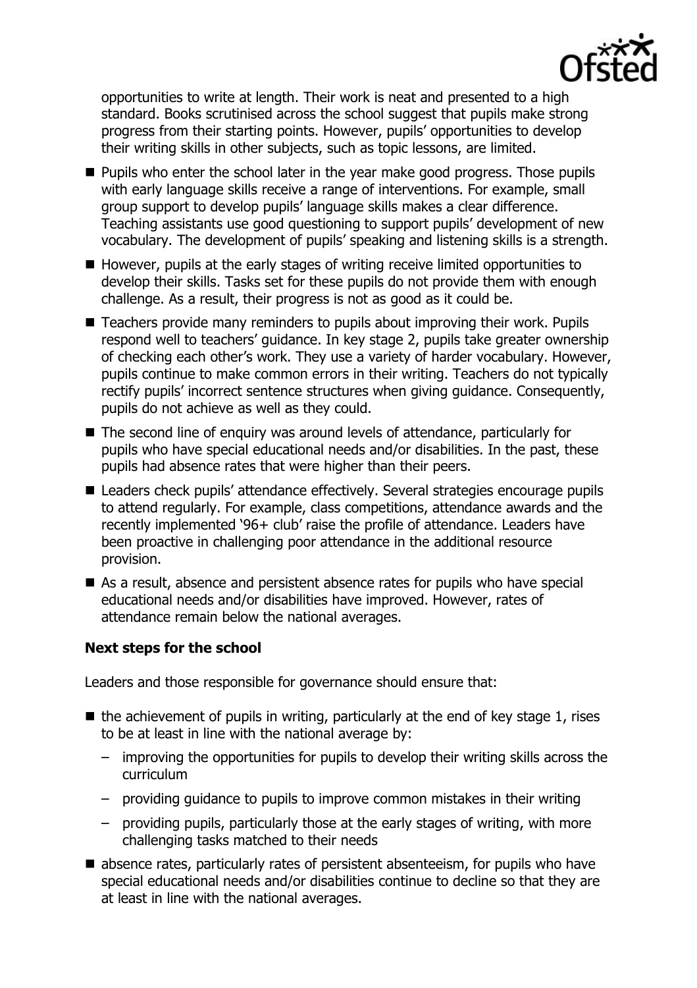

opportunities to write at length. Their work is neat and presented to a high standard. Books scrutinised across the school suggest that pupils make strong progress from their starting points. However, pupils' opportunities to develop their writing skills in other subjects, such as topic lessons, are limited.

- **Pupils who enter the school later in the year make good progress. Those pupils** with early language skills receive a range of interventions. For example, small group support to develop pupils' language skills makes a clear difference. Teaching assistants use good questioning to support pupils' development of new vocabulary. The development of pupils' speaking and listening skills is a strength.
- However, pupils at the early stages of writing receive limited opportunities to develop their skills. Tasks set for these pupils do not provide them with enough challenge. As a result, their progress is not as good as it could be.
- Teachers provide many reminders to pupils about improving their work. Pupils respond well to teachers' guidance. In key stage 2, pupils take greater ownership of checking each other's work. They use a variety of harder vocabulary. However, pupils continue to make common errors in their writing. Teachers do not typically rectify pupils' incorrect sentence structures when giving guidance. Consequently, pupils do not achieve as well as they could.
- The second line of enquiry was around levels of attendance, particularly for pupils who have special educational needs and/or disabilities. In the past, these pupils had absence rates that were higher than their peers.
- Leaders check pupils' attendance effectively. Several strategies encourage pupils to attend regularly. For example, class competitions, attendance awards and the recently implemented '96+ club' raise the profile of attendance. Leaders have been proactive in challenging poor attendance in the additional resource provision.
- As a result, absence and persistent absence rates for pupils who have special educational needs and/or disabilities have improved. However, rates of attendance remain below the national averages.

### **Next steps for the school**

Leaders and those responsible for governance should ensure that:

- $\blacksquare$  the achievement of pupils in writing, particularly at the end of key stage 1, rises to be at least in line with the national average by:
	- improving the opportunities for pupils to develop their writing skills across the curriculum
	- providing guidance to pupils to improve common mistakes in their writing
	- providing pupils, particularly those at the early stages of writing, with more challenging tasks matched to their needs
- absence rates, particularly rates of persistent absenteeism, for pupils who have special educational needs and/or disabilities continue to decline so that they are at least in line with the national averages.